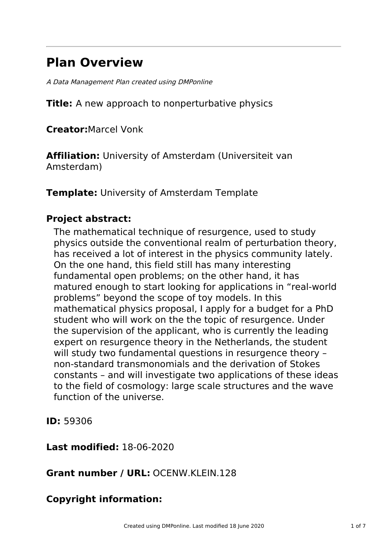# **Plan Overview**

A Data Management Plan created using DMPonline

**Title:** A new approach to nonperturbative physics

**Creator:**Marcel Vonk

**Affiliation:** University of Amsterdam (Universiteit van Amsterdam)

**Template:** University of Amsterdam Template

# **Project abstract:**

The mathematical technique of resurgence, used to study physics outside the conventional realm of perturbation theory, has received a lot of interest in the physics community lately. On the one hand, this field still has many interesting fundamental open problems; on the other hand, it has matured enough to start looking for applications in "real-world problems" beyond the scope of toy models. In this mathematical physics proposal, I apply for a budget for a PhD student who will work on the the topic of resurgence. Under the supervision of the applicant, who is currently the leading expert on resurgence theory in the Netherlands, the student will study two fundamental questions in resurgence theory – non-standard transmonomials and the derivation of Stokes constants – and will investigate two applications of these ideas to the field of cosmology: large scale structures and the wave function of the universe.

**ID:** 59306

**Last modified:** 18-06-2020

**Grant number / URL:** OCENW.KLEIN.128

# **Copyright information:**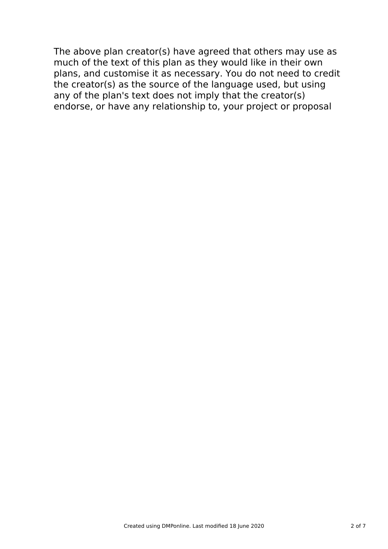The above plan creator(s) have agreed that others may use as much of the text of this plan as they would like in their own plans, and customise it as necessary. You do not need to credit the creator(s) as the source of the language used, but using any of the plan's text does not imply that the creator(s) endorse, or have any relationship to, your project or proposal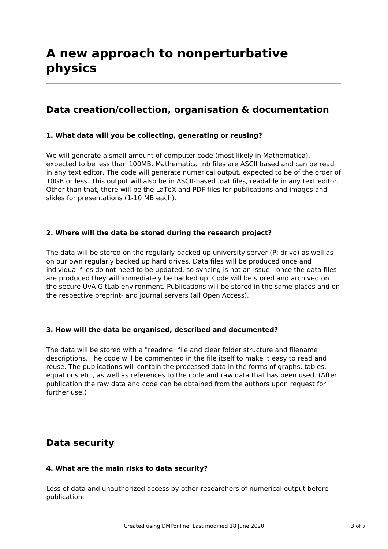# **Data creation/collection, organisation & documentation**

#### **1. What data will you be collecting, generating or reusing?**

We will generate a small amount of computer code (most likely in Mathematica), expected to be less than 100MB. Mathematica .nb files are ASCII based and can be read in any text editor. The code will generate numerical output, expected to be of the order of 10GB or less. This output will also be in ASCII-based .dat files, readable in any text editor. Other than that, there will be the LaTeX and PDF files for publications and images and slides for presentations (1-10 MB each).

#### **2. Where will the data be stored during the research project?**

The data will be stored on the regularly backed up university server (P: drive) as well as on our own regularly backed up hard drives. Data files will be produced once and individual files do not need to be updated, so syncing is not an issue - once the data files are produced they will immediately be backed up. Code will be stored and archived on the secure UvA GitLab environment. Publications will be stored in the same places and on the respective preprint- and journal servers (all Open Access).

#### **3. How will the data be organised, described and documented?**

The data will be stored with a "readme" file and clear folder structure and filename descriptions. The code will be commented in the file itself to make it easy to read and reuse. The publications will contain the processed data in the forms of graphs, tables, equations etc., as well as references to the code and raw data that has been used. (After publication the raw data and code can be obtained from the authors upon request for further use.)

# **Data security**

#### **4. What are the main risks to data security?**

Loss of data and unauthorized access by other researchers of numerical output before publication.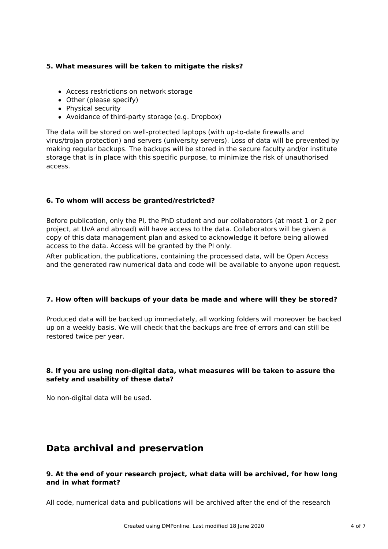#### **5. What measures will be taken to mitigate the risks?**

- Access restrictions on network storage
- Other (please specify)
- Physical security
- Avoidance of third-party storage (e.g. Dropbox)

The data will be stored on well-protected laptops (with up-to-date firewalls and virus/trojan protection) and servers (university servers). Loss of data will be prevented by making regular backups. The backups will be stored in the secure faculty and/or institute storage that is in place with this specific purpose, to minimize the risk of unauthorised access.

#### **6. To whom will access be granted/restricted?**

Before publication, only the PI, the PhD student and our collaborators (at most 1 or 2 per project, at UvA and abroad) will have access to the data. Collaborators will be given a copy of this data management plan and asked to acknowledge it before being allowed access to the data. Access will be granted by the PI only.

After publication, the publications, containing the processed data, will be Open Access and the generated raw numerical data and code will be available to anyone upon request.

#### **7. How often will backups of your data be made and where will they be stored?**

Produced data will be backed up immediately, all working folders will moreover be backed up on a weekly basis. We will check that the backups are free of errors and can still be restored twice per year.

#### **8. If you are using non-digital data, what measures will be taken to assure the safety and usability of these data?**

No non-digital data will be used.

# **Data archival and preservation**

#### **9. At the end of your research project, what data will be archived, for how long and in what format?**

All code, numerical data and publications will be archived after the end of the research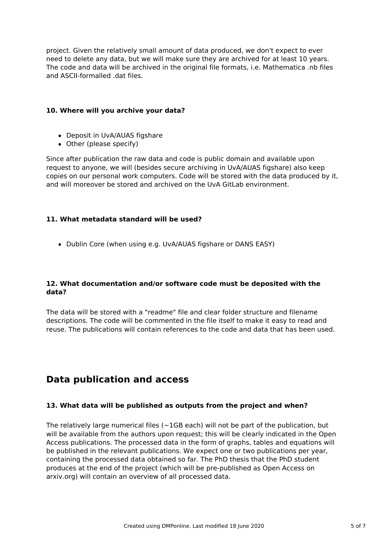project. Given the relatively small amount of data produced, we don't expect to ever need to delete any data, but we will make sure they are archived for at least 10 years. The code and data will be archived in the original file formats, i.e. Mathematica .nb files and ASCII-formalled .dat files.

#### **10. Where will you archive your data?**

- Deposit in UvA/AUAS figshare
- Other (please specify)

Since after publication the raw data and code is public domain and available upon request to anyone, we will (besides secure archiving in UvA/AUAS figshare) also keep copies on our personal work computers. Code will be stored with the data produced by it, and will moreover be stored and archived on the UvA GitLab environment.

#### **11. What metadata standard will be used?**

• Dublin Core (when using e.g. UvA/AUAS figshare or DANS EASY)

#### **12. What documentation and/or software code must be deposited with the data?**

The data will be stored with a "readme" file and clear folder structure and filename descriptions. The code will be commented in the file itself to make it easy to read and reuse. The publications will contain references to the code and data that has been used.

# **Data publication and access**

#### **13. What data will be published as outputs from the project and when?**

The relatively large numerical files ( $\sim$ 1GB each) will not be part of the publication, but will be available from the authors upon request; this will be clearly indicated in the Open Access publications. The processed data in the form of graphs, tables and equations will be published in the relevant publications. We expect one or two publications per year, containing the processed data obtained so far. The PhD thesis that the PhD student produces at the end of the project (which will be pre-published as Open Access on arxiv.org) will contain an overview of all processed data.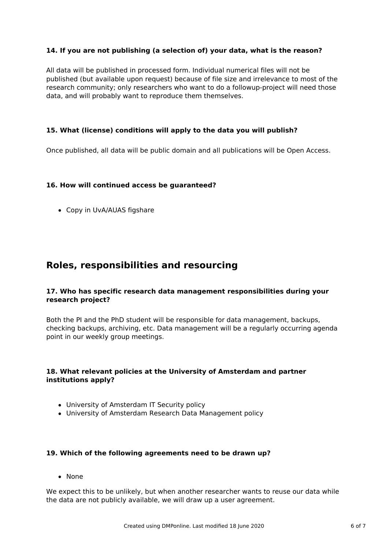#### **14. If you are not publishing (a selection of) your data, what is the reason?**

All data will be published in processed form. Individual numerical files will not be published (but available upon request) because of file size and irrelevance to most of the research community; only researchers who want to do a followup-project will need those data, and will probably want to reproduce them themselves.

#### **15. What (license) conditions will apply to the data you will publish?**

Once published, all data will be public domain and all publications will be Open Access.

#### **16. How will continued access be guaranteed?**

Copy in UvA/AUAS figshare

# **Roles, responsibilities and resourcing**

#### **17. Who has specific research data management responsibilities during your research project?**

Both the PI and the PhD student will be responsible for data management, backups, checking backups, archiving, etc. Data management will be a regularly occurring agenda point in our weekly group meetings.

#### **18. What relevant policies at the University of Amsterdam and partner institutions apply?**

- University of Amsterdam IT Security policy
- University of Amsterdam Research Data Management policy

#### **19. Which of the following agreements need to be drawn up?**

• None

We expect this to be unlikely, but when another researcher wants to reuse our data while the data are not publicly available, we will draw up a user agreement.